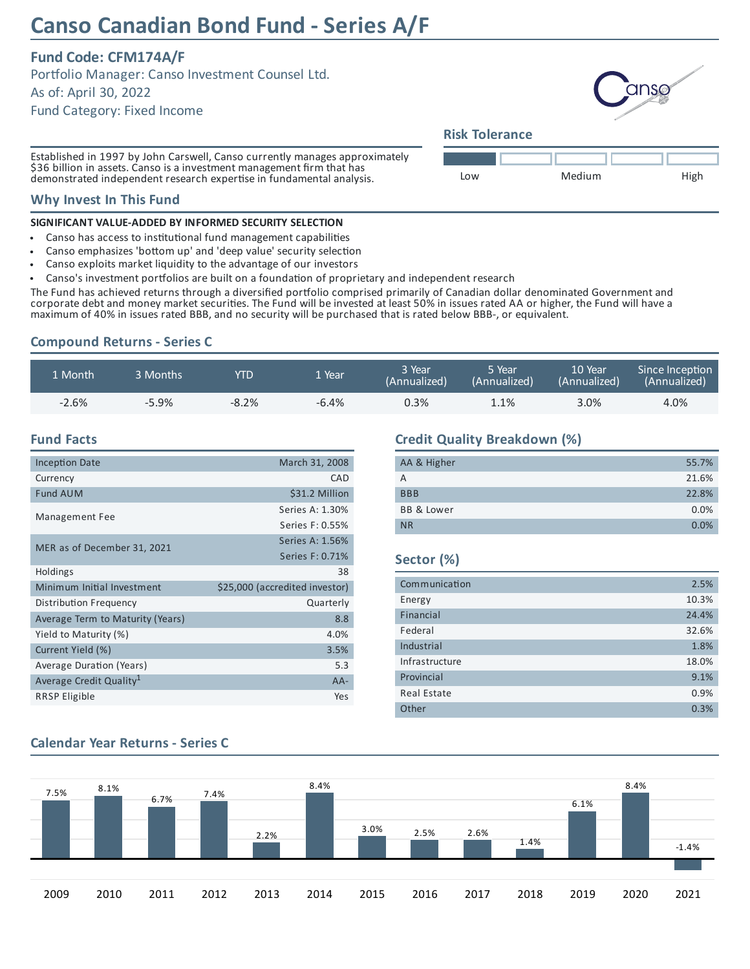# **Canso Canadian Bond Fund - Series A/F**

# **Fund Code: CFM174A/F**

Portfolio Manager: Canso Investment Counsel Ltd.

As of: April 30, 2022

Fund Category: Fixed Income

Established in 1997 by John Carswell, Canso currently manages approximately \$36 billion in assets. Canso is a investment management firm that has demonstrated independent research expertise in fundamental analysis.

#### **Why Invest In This Fund**

#### **SIGNIFICANT VALUE-ADDED BY INFORMED SECURITY SELECTION**

- Canso has access to institutional fund management capabilities  $\bullet$
- Canso emphasizes 'bottom up' and 'deep value' security selection
- Canso exploits market liquidity to the advantage of our investors  $\bullet$
- Canso's investment portfolios are built on a foundation of proprietary and independent research

The Fund has achieved returns through a diversified portfolio comprised primarily of Canadian dollar denominated Government and corporate debt and money market securities. The Fund will be invested at least 50% in issues rated AA or higher, the Fund will have a maximum of 40% in issues rated BBB, and no security will be purchased that is rated below BBB-, or equivalent.

# **Compound Returns - Series C**

| 1 Month | 3 Months | YTD      | 1 Year  | 3 Year<br>(Annualized) | 5 Year<br>(Annualized) | 10 Year<br>(Annualized) | Since Inception<br>(Annualized) |
|---------|----------|----------|---------|------------------------|------------------------|-------------------------|---------------------------------|
| $-2.6%$ | $-5.9%$  | $-8.2\%$ | $-6.4%$ | 0.3%                   | 1.1%                   | 3.0%                    | 4.0%                            |

#### **Fund Facts**

| <b>Inception Date</b>               | March 31, 2008                 |
|-------------------------------------|--------------------------------|
| Currency                            | CAD                            |
| <b>Fund AUM</b>                     | \$31.2 Million                 |
| Management Fee                      | Series A: 1.30%                |
|                                     | Series F: 0.55%                |
| MER as of December 31, 2021         | Series A: 1.56%                |
|                                     | Series F: 0.71%                |
| <b>Holdings</b>                     | 38                             |
| Minimum Initial Investment          | \$25,000 (accredited investor) |
| Distribution Frequency              | Quarterly                      |
| Average Term to Maturity (Years)    | 8.8                            |
| Yield to Maturity (%)               | 4.0%                           |
| Current Yield (%)                   | 3.5%                           |
| Average Duration (Years)            | 5.3                            |
| Average Credit Quality <sup>1</sup> | $AA-$                          |
| <b>RRSP Eligible</b>                | Yes                            |

## **Credit Quality Breakdown (%)**

| AA & Higher           | 55.7% |
|-----------------------|-------|
| А                     | 21.6% |
| <b>BBB</b>            | 22.8% |
| <b>BB &amp; Lower</b> | 0.0%  |
| <b>NR</b>             | 0.0%  |

#### **Sector (%)**

| Communication      | 2.5%  |
|--------------------|-------|
| Energy             | 10.3% |
| Financial          | 24.4% |
| Federal            | 32.6% |
| Industrial         | 1.8%  |
| Infrastructure     | 18.0% |
| Provincial         | 9.1%  |
| <b>Real Estate</b> | 0.9%  |
| Other              | 0.3%  |

#### 7.5% 8.1% 6.7% 7.4% 2.2% 8.4% 3.0% 2.5% 2.6% 1.4% 6.1% 8.4% -1.4% 2009 2010 2011 2012 2013 2014 2015 2016 2017 2018 2019 2020 2021

# **Calendar Year Returns - Series C**

anso

### **Risk Tolerance**